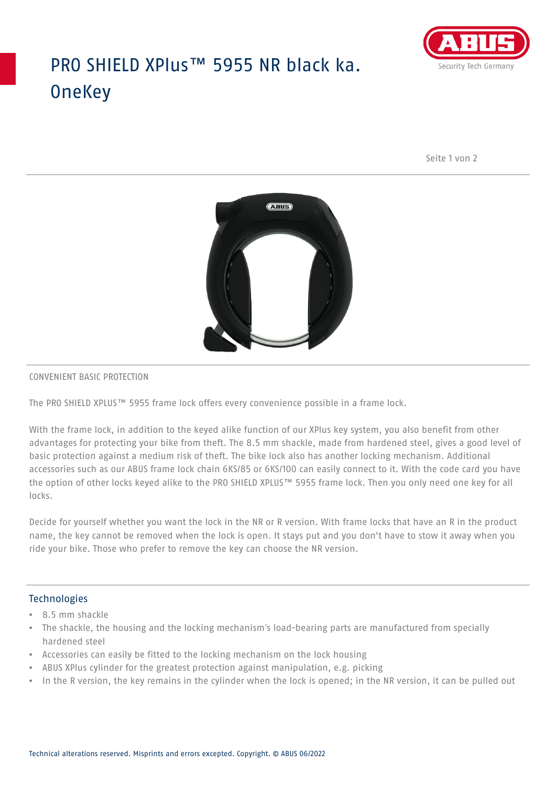# PRO SHIELD XPlus™ 5955 NR black ka. **OneKey**



Seite 1 von 2



#### CONVENIENT BASIC PROTECTION

The PRO SHIELD XPLUS™ 5955 frame lock offers every convenience possible in a frame lock.

With the frame lock, in addition to the keyed alike function of our XPlus key system, you also benefit from other advantages for protecting your bike from theft. The 8.5 mm shackle, made from hardened steel, gives a good level of basic protection against a medium risk of theft. The bike lock also has another locking mechanism. Additional accessories such as our ABUS frame lock chain 6KS/85 or 6KS/100 can easily connect to it. With the code card you have the option of other locks keyed alike to the PRO SHIELD XPLUS™ 5955 frame lock. Then you only need one key for all locks.

Decide for yourself whether you want the lock in the NR or R version. With frame locks that have an R in the product name, the key cannot be removed when the lock is open. It stays put and you don't have to stow it away when you ride your bike. Those who prefer to remove the key can choose the NR version.

### **Technologies**

- 8.5 mm shackle
- The shackle, the housing and the locking mechanism's load-bearing parts are manufactured from specially hardened steel
- Accessories can easily be fitted to the locking mechanism on the lock housing
- ABUS XPlus cylinder for the greatest protection against manipulation, e.g. picking
- In the R version, the key remains in the cylinder when the lock is opened; in the NR version, it can be pulled out